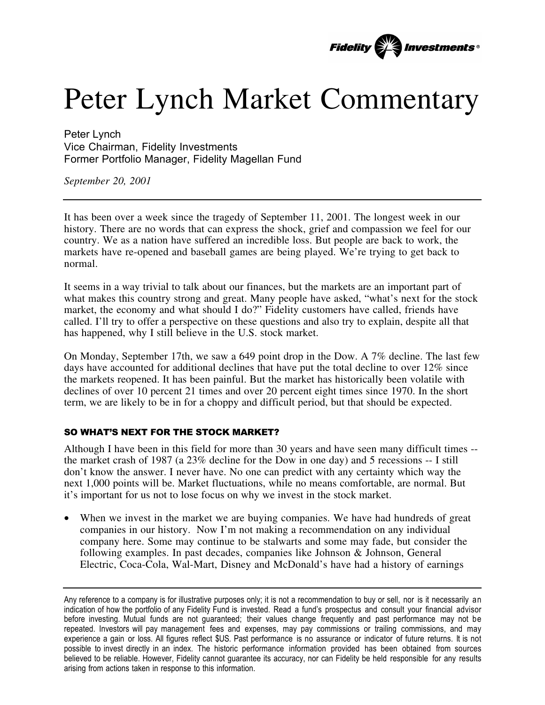

## Peter Lynch Market Commentary

Peter Lynch Vice Chairman, Fidelity Investments Former Portfolio Manager, Fidelity Magellan Fund

*September 20, 2001*

It has been over a week since the tragedy of September 11, 2001. The longest week in our history. There are no words that can express the shock, grief and compassion we feel for our country. We as a nation have suffered an incredible loss. But people are back to work, the markets have re-opened and baseball games are being played. We're trying to get back to normal.

It seems in a way trivial to talk about our finances, but the markets are an important part of what makes this country strong and great. Many people have asked, "what's next for the stock market, the economy and what should I do?" Fidelity customers have called, friends have called. I'll try to offer a perspective on these questions and also try to explain, despite all that has happened, why I still believe in the U.S. stock market.

On Monday, September 17th, we saw a 649 point drop in the Dow. A 7% decline. The last few days have accounted for additional declines that have put the total decline to over 12% since the markets reopened. It has been painful. But the market has historically been volatile with declines of over 10 percent 21 times and over 20 percent eight times since 1970. In the short term, we are likely to be in for a choppy and difficult period, but that should be expected.

## SO WHAT'S NEXT FOR THE STOCK MARKET?

Although I have been in this field for more than 30 years and have seen many difficult times - the market crash of 1987 (a 23% decline for the Dow in one day) and 5 recessions -- I still don't know the answer. I never have. No one can predict with any certainty which way the next 1,000 points will be. Market fluctuations, while no means comfortable, are normal. But it's important for us not to lose focus on why we invest in the stock market.

• When we invest in the market we are buying companies. We have had hundreds of great companies in our history. Now I'm not making a recommendation on any individual company here. Some may continue to be stalwarts and some may fade, but consider the following examples. In past decades, companies like Johnson & Johnson, General Electric, Coca-Cola, Wal-Mart, Disney and McDonald's have had a history of earnings

Any reference to a company is for illustrative purposes only; it is not a recommendation to buy or sell, nor is it necessarily an indication of how the portfolio of any Fidelity Fund is invested. Read a fund's prospectus and consult your financial advisor before investing. Mutual funds are not guaranteed; their values change frequently and past performance may not be repeated. Investors will pay management fees and expenses, may pay commissions or trailing commissions, and may experience a gain or loss. All figures reflect \$US. Past performance is no assurance or indicator of future returns. It is not possible to invest directly in an index. The historic performance information provided has been obtained from sources believed to be reliable. However, Fidelity cannot guarantee its accuracy, nor can Fidelity be held responsible for any results arising from actions taken in response to this information.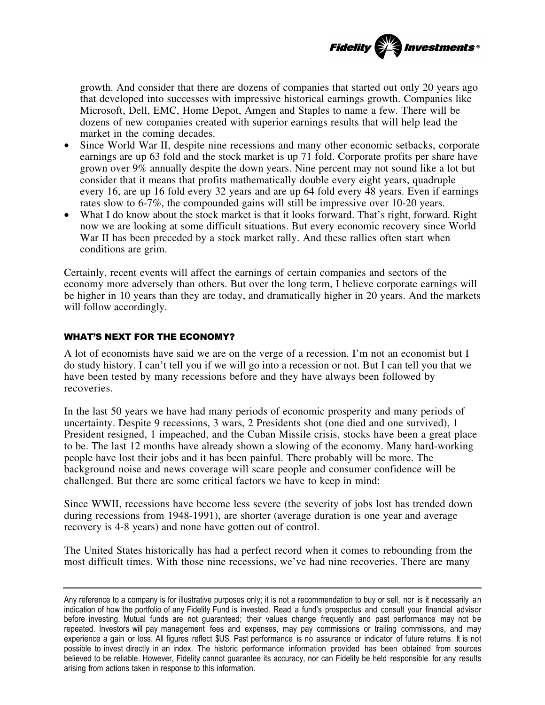

growth. And consider that there are dozens of companies that started out only 20 years ago that developed into successes with impressive historical earnings growth. Companies like Microsoft, Dell, EMC, Home Depot, Amgen and Staples to name a few. There will be dozens of new companies created with superior earnings results that will help lead the market in the coming decades.

- Since World War II, despite nine recessions and many other economic setbacks, corporate earnings are up 63 fold and the stock market is up 71 fold. Corporate profits per share have grown over 9% annually despite the down years. Nine percent may not sound like a lot but consider that it means that profits mathematically double every eight years, quadruple every 16, are up 16 fold every 32 years and are up 64 fold every 48 years. Even if earnings rates slow to 6-7%, the compounded gains will still be impressive over 10-20 years.
- What I do know about the stock market is that it looks forward. That's right, forward. Right now we are looking at some difficult situations. But every economic recovery since World War II has been preceded by a stock market rally. And these rallies often start when conditions are grim.

Certainly, recent events will affect the earnings of certain companies and sectors of the economy more adversely than others. But over the long term, I believe corporate earnings will be higher in 10 years than they are today, and dramatically higher in 20 years. And the markets will follow accordingly.

## WHAT'S NEXT FOR THE ECONOMY?

A lot of economists have said we are on the verge of a recession. I'm not an economist but I do study history. I can't tell you if we will go into a recession or not. But I can tell you that we have been tested by many recessions before and they have always been followed by recoveries.

In the last 50 years we have had many periods of economic prosperity and many periods of uncertainty. Despite 9 recessions, 3 wars, 2 Presidents shot (one died and one survived), 1 President resigned, 1 impeached, and the Cuban Missile crisis, stocks have been a great place to be. The last 12 months have already shown a slowing of the economy. Many hard-working people have lost their jobs and it has been painful. There probably will be more. The background noise and news coverage will scare people and consumer confidence will be challenged. But there are some critical factors we have to keep in mind:

Since WWII, recessions have become less severe (the severity of jobs lost has trended down during recessions from 1948-1991), are shorter (average duration is one year and average recovery is 4-8 years) and none have gotten out of control.

The United States historically has had a perfect record when it comes to rebounding from the most difficult times. With those nine recessions, we've had nine recoveries. There are many

Any reference to a company is for illustrative purposes only; it is not a recommendation to buy or sell, nor is it necessarily an indication of how the portfolio of any Fidelity Fund is invested. Read a fund's prospectus and consult your financial advisor before investing. Mutual funds are not guaranteed; their values change frequently and past performance may not be repeated. Investors will pay management fees and expenses, may pay commissions or trailing commissions, and may experience a gain or loss. All figures reflect \$US. Past performance is no assurance or indicator of future returns. It is not possible to invest directly in an index. The historic performance information provided has been obtained from sources believed to be reliable. However, Fidelity cannot guarantee its accuracy, nor can Fidelity be held responsible for any results arising from actions taken in response to this information.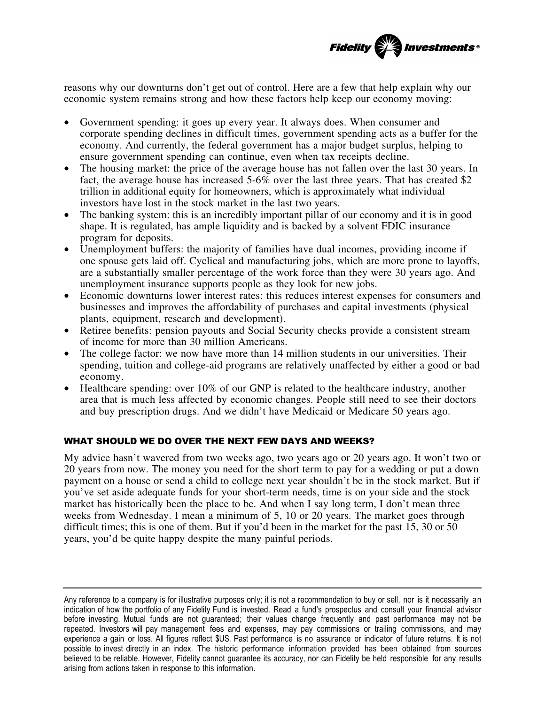

reasons why our downturns don't get out of control. Here are a few that help explain why our economic system remains strong and how these factors help keep our economy moving:

- Government spending: it goes up every year. It always does. When consumer and corporate spending declines in difficult times, government spending acts as a buffer for the economy. And currently, the federal government has a major budget surplus, helping to ensure government spending can continue, even when tax receipts decline.
- The housing market: the price of the average house has not fallen over the last 30 years. In fact, the average house has increased 5-6% over the last three years. That has created \$2 trillion in additional equity for homeowners, which is approximately what individual investors have lost in the stock market in the last two years.
- The banking system: this is an incredibly important pillar of our economy and it is in good shape. It is regulated, has ample liquidity and is backed by a solvent FDIC insurance program for deposits.
- Unemployment buffers: the majority of families have dual incomes, providing income if one spouse gets laid off. Cyclical and manufacturing jobs, which are more prone to layoffs, are a substantially smaller percentage of the work force than they were 30 years ago. And unemployment insurance supports people as they look for new jobs.
- Economic downturns lower interest rates: this reduces interest expenses for consumers and businesses and improves the affordability of purchases and capital investments (physical plants, equipment, research and development).
- Retiree benefits: pension payouts and Social Security checks provide a consistent stream of income for more than 30 million Americans.
- The college factor: we now have more than 14 million students in our universities. Their spending, tuition and college-aid programs are relatively unaffected by either a good or bad economy.
- Healthcare spending: over 10% of our GNP is related to the healthcare industry, another area that is much less affected by economic changes. People still need to see their doctors and buy prescription drugs. And we didn't have Medicaid or Medicare 50 years ago.

## WHAT SHOULD WE DO OVER THE NEXT FEW DAYS AND WEEKS?

My advice hasn't wavered from two weeks ago, two years ago or 20 years ago. It won't two or 20 years from now. The money you need for the short term to pay for a wedding or put a down payment on a house or send a child to college next year shouldn't be in the stock market. But if you've set aside adequate funds for your short-term needs, time is on your side and the stock market has historically been the place to be. And when I say long term, I don't mean three weeks from Wednesday. I mean a minimum of 5, 10 or 20 years. The market goes through difficult times; this is one of them. But if you'd been in the market for the past 15, 30 or 50 years, you'd be quite happy despite the many painful periods.

Any reference to a company is for illustrative purposes only; it is not a recommendation to buy or sell, nor is it necessarily an indication of how the portfolio of any Fidelity Fund is invested. Read a fund's prospectus and consult your financial advisor before investing. Mutual funds are not guaranteed; their values change frequently and past performance may not be repeated. Investors will pay management fees and expenses, may pay commissions or trailing commissions, and may experience a gain or loss. All figures reflect \$US. Past performance is no assurance or indicator of future returns. It is not possible to invest directly in an index. The historic performance information provided has been obtained from sources believed to be reliable. However, Fidelity cannot guarantee its accuracy, nor can Fidelity be held responsible for any results arising from actions taken in response to this information.